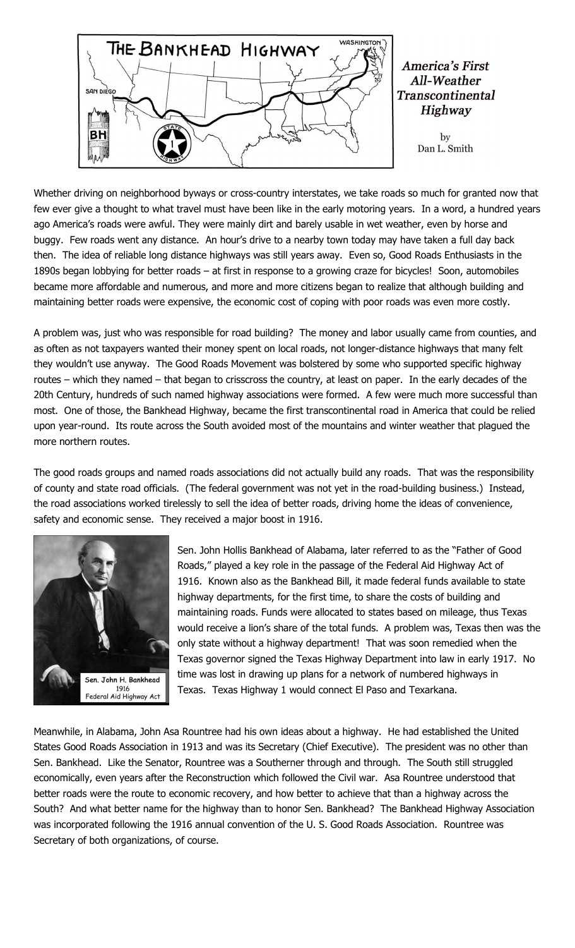

**America's First** All-Weather **Transcontinental Highway** 

> by Dan L. Smith

Whether driving on neighborhood byways or cross-country interstates, we take roads so much for granted now that few ever give a thought to what travel must have been like in the early motoring years. In a word, a hundred years ago America's roads were awful. They were mainly dirt and barely usable in wet weather, even by horse and buggy. Few roads went any distance. An hour's drive to a nearby town today may have taken a full day back then. The idea of reliable long distance highways was still years away. Even so, Good Roads Enthusiasts in the 1890s began lobbying for better roads – at first in response to a growing craze for bicycles! Soon, automobiles became more affordable and numerous, and more and more citizens began to realize that although building and maintaining better roads were expensive, the economic cost of coping with poor roads was even more costly.

A problem was, just who was responsible for road building? The money and labor usually came from counties, and as often as not taxpayers wanted their money spent on local roads, not longer-distance highways that many felt they wouldn't use anyway. The Good Roads Movement was bolstered by some who supported specific highway routes – which they named – that began to crisscross the country, at least on paper. In the early decades of the 20th Century, hundreds of such named highway associations were formed. A few were much more successful than most. One of those, the Bankhead Highway, became the first transcontinental road in America that could be relied upon year-round. Its route across the South avoided most of the mountains and winter weather that plagued the more northern routes.

The good roads groups and named roads associations did not actually build any roads. That was the responsibility of county and state road officials. (The federal government was not yet in the road-building business.) Instead, the road associations worked tirelessly to sell the idea of better roads, driving home the ideas of convenience, safety and economic sense. They received a major boost in 1916.



Sen. John Hollis Bankhead of Alabama, later referred to as the "Father of Good Roads," played a key role in the passage of the Federal Aid Highway Act of 1916. Known also as the Bankhead Bill, it made federal funds available to state highway departments, for the first time, to share the costs of building and maintaining roads. Funds were allocated to states based on mileage, thus Texas would receive a lion's share of the total funds. A problem was, Texas then was the only state without a highway department! That was soon remedied when the Texas governor signed the Texas Highway Department into law in early 1917. No time was lost in drawing up plans for a network of numbered highways in Texas. Texas Highway 1 would connect El Paso and Texarkana.

Meanwhile, in Alabama, John Asa Rountree had his own ideas about a highway. He had established the United States Good Roads Association in 1913 and was its Secretary (Chief Executive). The president was no other than Sen. Bankhead. Like the Senator, Rountree was a Southerner through and through. The South still struggled economically, even years after the Reconstruction which followed the Civil war. Asa Rountree understood that better roads were the route to economic recovery, and how better to achieve that than a highway across the South? And what better name for the highway than to honor Sen. Bankhead? The Bankhead Highway Association was incorporated following the 1916 annual convention of the U. S. Good Roads Association. Rountree was Secretary of both organizations, of course.